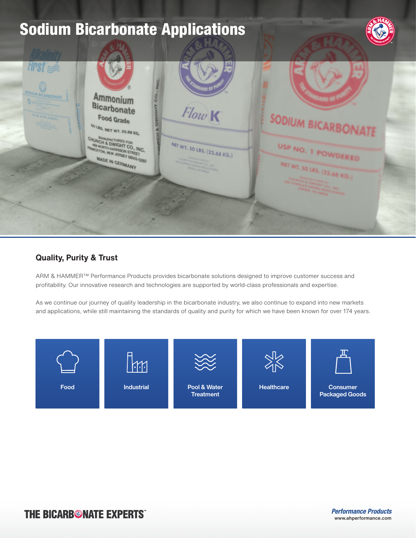

## **Quality, Purity & Trust**

ARM & HAMMER™ Performance Products provides bicarbonate solutions designed to improve customer success and profitability. Our innovative research and technologies are supported by world-class professionals and expertise.

As we continue our journey of quality leadership in the bicarbonate industry, we also continue to expand into new markets and applications, while still maintaining the standards of quality and purity for which we have been known for over 174 years.